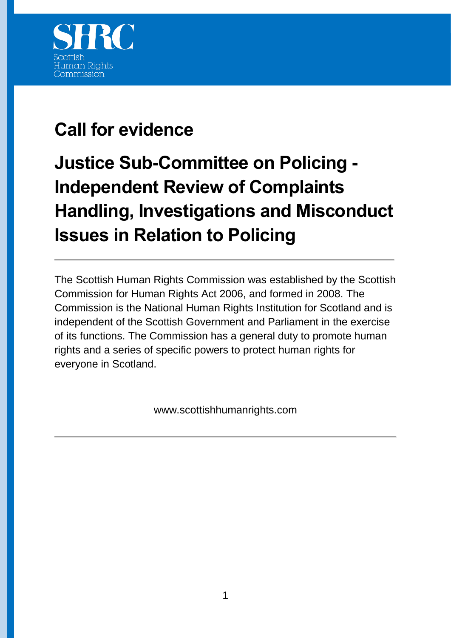

## **Call for evidence**

## **Justice Sub-Committee on Policing - Independent Review of Complaints Handling, Investigations and Misconduct Issues in Relation to Policing**

The Scottish Human Rights Commission was established by the Scottish Commission for Human Rights Act 2006, and formed in 2008. The Commission is the National Human Rights Institution for Scotland and is independent of the Scottish Government and Parliament in the exercise of its functions. The Commission has a general duty to promote human rights and a series of specific powers to protect human rights for everyone in Scotland.

www.scottishhumanrights.com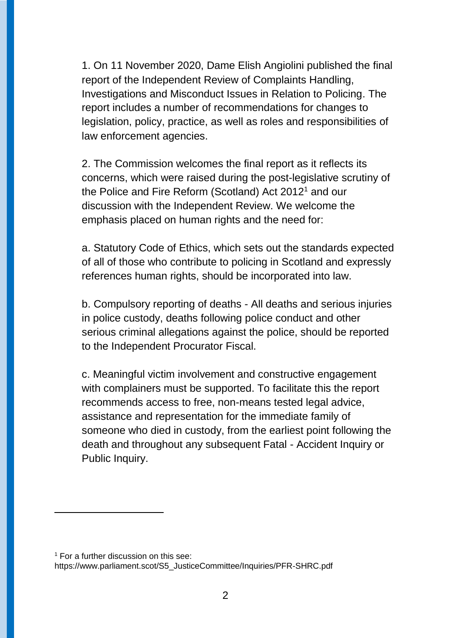1. On 11 November 2020, Dame Elish Angiolini published the final report of the Independent Review of Complaints Handling, Investigations and Misconduct Issues in Relation to Policing. The report includes a number of recommendations for changes to legislation, policy, practice, as well as roles and responsibilities of law enforcement agencies.

2. The Commission welcomes the final report as it reflects its concerns, which were raised during the post-legislative scrutiny of the Police and Fire Reform (Scotland) Act 2012<sup>1</sup> and our discussion with the Independent Review. We welcome the emphasis placed on human rights and the need for:

a. Statutory Code of Ethics, which sets out the standards expected of all of those who contribute to policing in Scotland and expressly references human rights, should be incorporated into law.

b. Compulsory reporting of deaths - All deaths and serious injuries in police custody, deaths following police conduct and other serious criminal allegations against the police, should be reported to the Independent Procurator Fiscal.

c. Meaningful victim involvement and constructive engagement with complainers must be supported. To facilitate this the report recommends access to free, non-means tested legal advice, assistance and representation for the immediate family of someone who died in custody, from the earliest point following the death and throughout any subsequent Fatal - Accident Inquiry or Public Inquiry.

 $\overline{a}$ 

 $1$  For a further discussion on this see: https://www.parliament.scot/S5\_JusticeCommittee/Inquiries/PFR-SHRC.pdf